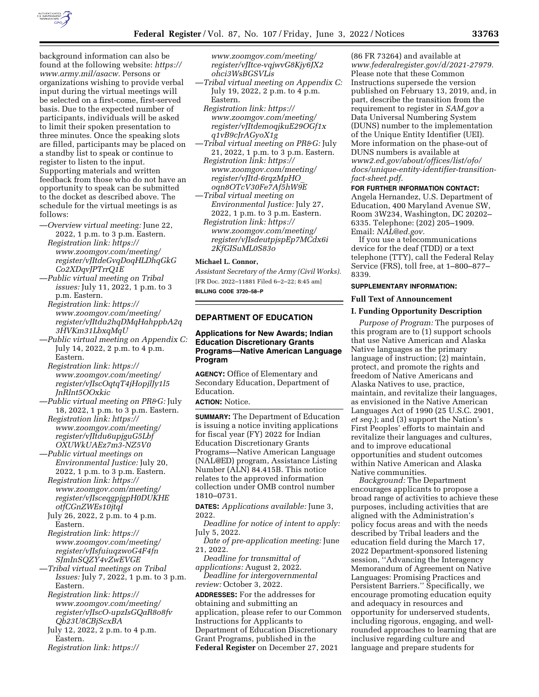

background information can also be found at the following website: *[https://](https://www.army.mil/asacw) [www.army.mil/asacw.](https://www.army.mil/asacw)* Persons or organizations wishing to provide verbal input during the virtual meetings will be selected on a first-come, first-served basis. Due to the expected number of participants, individuals will be asked to limit their spoken presentation to three minutes. Once the speaking slots are filled, participants may be placed on a standby list to speak or continue to register to listen to the input. Supporting materials and written feedback from those who do not have an opportunity to speak can be submitted to the docket as described above. The schedule for the virtual meetings is as follows:

- —*Overview virtual meeting:* June 22, 2022, 1 p.m. to 3 p.m. Eastern. *Registration link: [https://](https://www.zoomgov.com/meeting/register/vJItdeGvqDoqHLDhqGkGCo2XDqvJPTrrQ1E) [www.zoomgov.com/meeting/](https://www.zoomgov.com/meeting/register/vJItdeGvqDoqHLDhqGkGCo2XDqvJPTrrQ1E)  [register/vJItdeGvqDoqHLDhqGkG](https://www.zoomgov.com/meeting/register/vJItdeGvqDoqHLDhqGkGCo2XDqvJPTrrQ1E) [Co2XDqvJPTrrQ1E](https://www.zoomgov.com/meeting/register/vJItdeGvqDoqHLDhqGkGCo2XDqvJPTrrQ1E)*
- —*Public virtual meeting on Tribal issues:* July 11, 2022, 1 p.m. to 3 p.m. Eastern.
- *Registration link: [https://](https://www.zoomgov.com/meeting/register/vJItdu2hqDMqHahppbA2q3HVKm31LbxqMqU) [www.zoomgov.com/meeting/](https://www.zoomgov.com/meeting/register/vJItdu2hqDMqHahppbA2q3HVKm31LbxqMqU)  [register/vJItdu2hqDMqHahppbA2q](https://www.zoomgov.com/meeting/register/vJItdu2hqDMqHahppbA2q3HVKm31LbxqMqU) [3HVKm31LbxqMqU](https://www.zoomgov.com/meeting/register/vJItdu2hqDMqHahppbA2q3HVKm31LbxqMqU)*
- —*Public virtual meeting on Appendix C:*  July 14, 2022, 2 p.m. to 4 p.m. Eastern.
- *Registration link: [https://](https://www.zoomgov.com/meeting/register/vJIscOqtqT4jHopjlJy1l5JnRlnt5OOxkic) [www.zoomgov.com/meeting/](https://www.zoomgov.com/meeting/register/vJIscOqtqT4jHopjlJy1l5JnRlnt5OOxkic)  [register/vJIscOqtqT4jHopjlJy1l5](https://www.zoomgov.com/meeting/register/vJIscOqtqT4jHopjlJy1l5JnRlnt5OOxkic) [JnRlnt5OOxkic](https://www.zoomgov.com/meeting/register/vJIscOqtqT4jHopjlJy1l5JnRlnt5OOxkic)*
- —*Public virtual meeting on PR&G:* July 18, 2022, 1 p.m. to 3 p.m. Eastern. *Registration link: [https://](https://www.zoomgov.com/meeting/register/vJItdu6upjguG5LbfOXUWkUAEz7m3-NZ5V0)*
- *[www.zoomgov.com/meeting/](https://www.zoomgov.com/meeting/register/vJItdu6upjguG5LbfOXUWkUAEz7m3-NZ5V0)  [register/vJItdu6upjguG5Lbf](https://www.zoomgov.com/meeting/register/vJItdu6upjguG5LbfOXUWkUAEz7m3-NZ5V0) [OXUWkUAEz7m3-NZ5V0](https://www.zoomgov.com/meeting/register/vJItdu6upjguG5LbfOXUWkUAEz7m3-NZ5V0)*
- —*Public virtual meetings on Environmental Justice:* July 20, 2022, 1 p.m. to 3 p.m. Eastern.
	- *Registration link: [https://](https://www.zoomgov.com/meeting/register/vJIsceqgpjgpH0DUKHEotfCGnZWEs10jtqI) [www.zoomgov.com/meeting/](https://www.zoomgov.com/meeting/register/vJIsceqgpjgpH0DUKHEotfCGnZWEs10jtqI)  [register/vJIsceqgpjgpH0DUKHE](https://www.zoomgov.com/meeting/register/vJIsceqgpjgpH0DUKHEotfCGnZWEs10jtqI) [otfCGnZWEs10jtqI](https://www.zoomgov.com/meeting/register/vJIsceqgpjgpH0DUKHEotfCGnZWEs10jtqI)*
	- July 26, 2022, 2 p.m. to 4 p.m. Eastern.
	- *Registration link: [https://](https://www.zoomgov.com/meeting/register/vJIsfuiuqzwoG4F4fnSJmInSQZY4vZwEVGE) [www.zoomgov.com/meeting/](https://www.zoomgov.com/meeting/register/vJIsfuiuqzwoG4F4fnSJmInSQZY4vZwEVGE)  [register/vJIsfuiuqzwoG4F4fn](https://www.zoomgov.com/meeting/register/vJIsfuiuqzwoG4F4fnSJmInSQZY4vZwEVGE) [SJmInSQZY4vZwEVGE](https://www.zoomgov.com/meeting/register/vJIsfuiuqzwoG4F4fnSJmInSQZY4vZwEVGE)*
- —*Tribal virtual meetings on Tribal Issues:* July 7, 2022, 1 p.m. to 3 p.m. Eastern.
	- *Registration link: [https://](https://www.zoomgov.com/meeting/register/vJIscO-upzIsGQaR8o8fvQb23U8CBjScxBA) [www.zoomgov.com/meeting/](https://www.zoomgov.com/meeting/register/vJIscO-upzIsGQaR8o8fvQb23U8CBjScxBA)  [register/vJIscO-upzIsGQaR8o8fv](https://www.zoomgov.com/meeting/register/vJIscO-upzIsGQaR8o8fvQb23U8CBjScxBA) [Qb23U8CBjScxBA](https://www.zoomgov.com/meeting/register/vJIscO-upzIsGQaR8o8fvQb23U8CBjScxBA)*
	- July 12, 2022, 2 p.m. to 4 p.m. Eastern.
	- *Registration link: [https://](https://www.zoomgov.com/meeting/register/vJItce-vqjwvG8Kjy6JX2ohci3WsBGSVLis)*

*[www.zoomgov.com/meeting/](https://www.zoomgov.com/meeting/register/vJItce-vqjwvG8Kjy6JX2ohci3WsBGSVLis)  [register/vJItce-vqjwvG8Kjy6JX2](https://www.zoomgov.com/meeting/register/vJItce-vqjwvG8Kjy6JX2ohci3WsBGSVLis) [ohci3WsBGSVLis](https://www.zoomgov.com/meeting/register/vJItce-vqjwvG8Kjy6JX2ohci3WsBGSVLis)* 

- —*Tribal virtual meeting on Appendix C:*  July 19, 2022, 2 p.m. to 4 p.m. Eastern.
	- *Registration link: [https://](https://www.zoomgov.com/meeting/register/vJItdemoqjkuE29OGf1xq1vB9cJrAGyoX1g) [www.zoomgov.com/meeting/](https://www.zoomgov.com/meeting/register/vJItdemoqjkuE29OGf1xq1vB9cJrAGyoX1g)  [register/vJItdemoqjkuE29OGf1x](https://www.zoomgov.com/meeting/register/vJItdemoqjkuE29OGf1xq1vB9cJrAGyoX1g) [q1vB9cJrAGyoX1g](https://www.zoomgov.com/meeting/register/vJItdemoqjkuE29OGf1xq1vB9cJrAGyoX1g)*
- —*Tribal virtual meeting on PR&G:* July 21, 2022, 1 p.m. to 3 p.m. Eastern. *Registration link: [https://](https://www.zoomgov.com/meeting/register/vJItd-6rqzMpHO_oqn8OTcV30Fe7Af5hW9E) [www.zoomgov.com/meeting/](https://www.zoomgov.com/meeting/register/vJItd-6rqzMpHO_oqn8OTcV30Fe7Af5hW9E)  [register/vJItd-6rqzMpHO](https://www.zoomgov.com/meeting/register/vJItd-6rqzMpHO_oqn8OTcV30Fe7Af5hW9E)*\_ *[oqn8OTcV30Fe7Af5hW9E](https://www.zoomgov.com/meeting/register/vJItd-6rqzMpHO_oqn8OTcV30Fe7Af5hW9E)*
- —*Tribal virtual meeting on Environmental Justice:* July 27, 2022, 1 p.m. to 3 p.m. Eastern. *Registration link: [https://](https://www.zoomgov.com/meeting/register/vJIsdeutpjspEp7MCdx6i2KfGISuML0S83o) [www.zoomgov.com/meeting/](https://www.zoomgov.com/meeting/register/vJIsdeutpjspEp7MCdx6i2KfGISuML0S83o)* 
	- *[register/vJIsdeutpjspEp7MCdx6i](https://www.zoomgov.com/meeting/register/vJIsdeutpjspEp7MCdx6i2KfGISuML0S83o) [2KfGISuML0S83o](https://www.zoomgov.com/meeting/register/vJIsdeutpjspEp7MCdx6i2KfGISuML0S83o)*

# **Michael L. Connor,**

*Assistant Secretary of the Army (Civil Works).*  [FR Doc. 2022–11881 Filed 6–2–22; 8:45 am] **BILLING CODE 3720–58–P** 

## **DEPARTMENT OF EDUCATION**

# **Applications for New Awards; Indian Education Discretionary Grants Programs—Native American Language Program**

**AGENCY:** Office of Elementary and Secondary Education, Department of Education.

## **ACTION:** Notice.

**SUMMARY:** The Department of Education is issuing a notice inviting applications for fiscal year (FY) 2022 for Indian Education Discretionary Grants Programs—Native American Language (NAL@ED) program, Assistance Listing Number (ALN) 84.415B. This notice relates to the approved information collection under OMB control number 1810–0731.

**DATES:** *Applications available:* June 3, 2022.

*Deadline for notice of intent to apply:*  July 5, 2022.

*Date of pre-application meeting:* June 21, 2022.

*Deadline for transmittal of applications:* August 2, 2022.

*Deadline for intergovernmental review:* October 3, 2022.

**ADDRESSES:** For the addresses for obtaining and submitting an application, please refer to our Common Instructions for Applicants to Department of Education Discretionary Grant Programs, published in the **Federal Register** on December 27, 2021

(86 FR 73264) and available at *[www.federalregister.gov/d/2021-27979.](http://www.federalregister.gov/d/2021-27979)*  Please note that these Common Instructions supersede the version published on February 13, 2019, and, in part, describe the transition from the requirement to register in *SAM.gov* a Data Universal Numbering System (DUNS) number to the implementation of the Unique Entity Identifier (UEI). More information on the phase-out of DUNS numbers is available at *[www2.ed.gov/about/offices/list/ofo/](http://www2.ed.gov/about/offices/list/ofo/docs/unique-entity-identifier-transition-fact-sheet.pdf) [docs/unique-entity-identifier-transition](http://www2.ed.gov/about/offices/list/ofo/docs/unique-entity-identifier-transition-fact-sheet.pdf)[fact-sheet.pdf.](http://www2.ed.gov/about/offices/list/ofo/docs/unique-entity-identifier-transition-fact-sheet.pdf)* 

### **FOR FURTHER INFORMATION CONTACT:**

Angela Hernandez, U.S. Department of Education, 400 Maryland Avenue SW, Room 3W234, Washington, DC 20202– 6335. Telephone: (202) 205–1909. Email: *[NAL@ed.gov.](mailto:NAL@ed.gov)* 

If you use a telecommunications device for the deaf (TDD) or a text telephone (TTY), call the Federal Relay Service (FRS), toll free, at 1–800–877– 8339.

# **SUPPLEMENTARY INFORMATION:**

# **Full Text of Announcement**

### **I. Funding Opportunity Description**

*Purpose of Program:* The purposes of this program are to (1) support schools that use Native American and Alaska Native languages as the primary language of instruction; (2) maintain, protect, and promote the rights and freedom of Native Americans and Alaska Natives to use, practice, maintain, and revitalize their languages, as envisioned in the Native American Languages Act of 1990 (25 U.S.C. 2901, *et seq.*); and (3) support the Nation's First Peoples' efforts to maintain and revitalize their languages and cultures, and to improve educational opportunities and student outcomes within Native American and Alaska Native communities.

*Background:* The Department encourages applicants to propose a broad range of activities to achieve these purposes, including activities that are aligned with the Administration's policy focus areas and with the needs described by Tribal leaders and the education field during the March 17, 2022 Department-sponsored listening session, ''Advancing the Interagency Memorandum of Agreement on Native Languages: Promising Practices and Persistent Barriers.'' Specifically, we encourage promoting education equity and adequacy in resources and opportunity for underserved students, including rigorous, engaging, and wellrounded approaches to learning that are inclusive regarding culture and language and prepare students for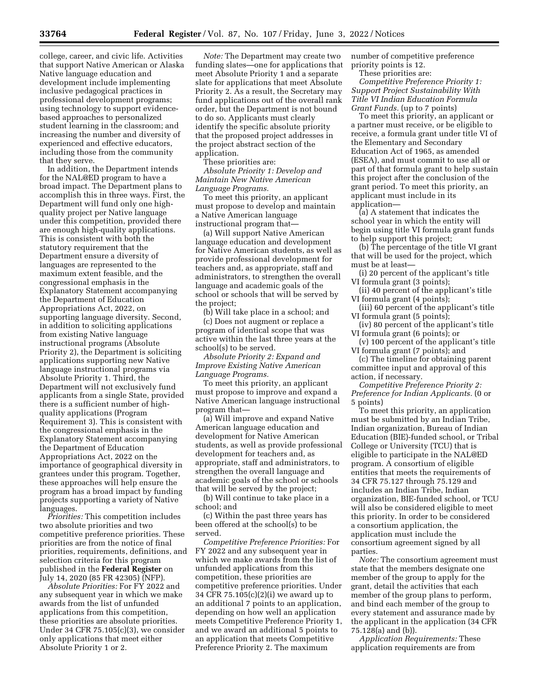college, career, and civic life. Activities that support Native American or Alaska Native language education and development include implementing inclusive pedagogical practices in professional development programs; using technology to support evidencebased approaches to personalized student learning in the classroom; and increasing the number and diversity of experienced and effective educators, including those from the community that they serve.

In addition, the Department intends for the NAL@ED program to have a broad impact. The Department plans to accomplish this in three ways. First, the Department will fund only one highquality project per Native language under this competition, provided there are enough high-quality applications. This is consistent with both the statutory requirement that the Department ensure a diversity of languages are represented to the maximum extent feasible, and the congressional emphasis in the Explanatory Statement accompanying the Department of Education Appropriations Act, 2022, on supporting language diversity. Second, in addition to soliciting applications from existing Native language instructional programs (Absolute Priority 2), the Department is soliciting applications supporting new Native language instructional programs via Absolute Priority 1. Third, the Department will not exclusively fund applicants from a single State, provided there is a sufficient number of highquality applications (Program Requirement 3). This is consistent with the congressional emphasis in the Explanatory Statement accompanying the Department of Education Appropriations Act, 2022 on the importance of geographical diversity in grantees under this program. Together, these approaches will help ensure the program has a broad impact by funding projects supporting a variety of Native languages.

*Priorities:* This competition includes two absolute priorities and two competitive preference priorities. These priorities are from the notice of final priorities, requirements, definitions, and selection criteria for this program published in the **Federal Register** on July 14, 2020 (85 FR 42305) (NFP).

*Absolute Priorities:* For FY 2022 and any subsequent year in which we make awards from the list of unfunded applications from this competition, these priorities are absolute priorities. Under 34 CFR 75.105(c)(3), we consider only applications that meet either Absolute Priority 1 or 2.

*Note:* The Department may create two funding slates—one for applications that meet Absolute Priority 1 and a separate slate for applications that meet Absolute Priority 2. As a result, the Secretary may fund applications out of the overall rank order, but the Department is not bound to do so. Applicants must clearly identify the specific absolute priority that the proposed project addresses in the project abstract section of the application.

These priorities are: *Absolute Priority 1: Develop and Maintain New Native American Language Programs.* 

To meet this priority, an applicant must propose to develop and maintain a Native American language instructional program that—

(a) Will support Native American language education and development for Native American students, as well as provide professional development for teachers and, as appropriate, staff and administrators, to strengthen the overall language and academic goals of the school or schools that will be served by the project;

(b) Will take place in a school; and (c) Does not augment or replace a program of identical scope that was active within the last three years at the school(s) to be served.

*Absolute Priority 2: Expand and Improve Existing Native American Language Programs.* 

To meet this priority, an applicant must propose to improve and expand a Native American language instructional program that—

(a) Will improve and expand Native American language education and development for Native American students, as well as provide professional development for teachers and, as appropriate, staff and administrators, to strengthen the overall language and academic goals of the school or schools that will be served by the project;

(b) Will continue to take place in a school; and

(c) Within the past three years has been offered at the school(s) to be served.

*Competitive Preference Priorities:* For FY 2022 and any subsequent year in which we make awards from the list of unfunded applications from this competition, these priorities are competitive preference priorities. Under 34 CFR 75.105(c)(2)(i) we award up to an additional 7 points to an application, depending on how well an application meets Competitive Preference Priority 1, and we award an additional 5 points to an application that meets Competitive Preference Priority 2. The maximum

number of competitive preference priority points is 12.

These priorities are:

*Competitive Preference Priority 1: Support Project Sustainability With Title VI Indian Education Formula Grant Funds.* (up to 7 points)

To meet this priority, an applicant or a partner must receive, or be eligible to receive, a formula grant under title VI of the Elementary and Secondary Education Act of 1965, as amended (ESEA), and must commit to use all or part of that formula grant to help sustain this project after the conclusion of the grant period. To meet this priority, an applicant must include in its application—

(a) A statement that indicates the school year in which the entity will begin using title VI formula grant funds to help support this project;

(b) The percentage of the title VI grant that will be used for the project, which must be at least—

(i) 20 percent of the applicant's title VI formula grant (3 points);

(ii) 40 percent of the applicant's title VI formula grant (4 points);

(iii) 60 percent of the applicant's title VI formula grant (5 points);

(iv) 80 percent of the applicant's title VI formula grant (6 points); or

(v) 100 percent of the applicant's title VI formula grant (7 points); and

(c) The timeline for obtaining parent committee input and approval of this action, if necessary.

*Competitive Preference Priority 2: Preference for Indian Applicants.* (0 or 5 points)

To meet this priority, an application must be submitted by an Indian Tribe, Indian organization, Bureau of Indian Education (BIE)-funded school, or Tribal College or University (TCU) that is eligible to participate in the NAL@ED program. A consortium of eligible entities that meets the requirements of 34 CFR 75.127 through 75.129 and includes an Indian Tribe, Indian organization, BIE-funded school, or TCU will also be considered eligible to meet this priority. In order to be considered a consortium application, the application must include the consortium agreement signed by all parties.

*Note:* The consortium agreement must state that the members designate one member of the group to apply for the grant, detail the activities that each member of the group plans to perform, and bind each member of the group to every statement and assurance made by the applicant in the application (34 CFR 75.128(a) and (b)).

*Application Requirements:* These application requirements are from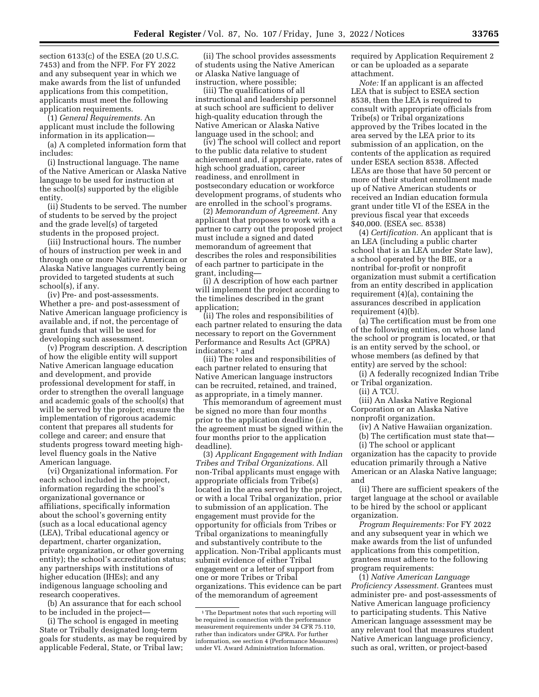section 6133(c) of the ESEA (20 U.S.C. 7453) and from the NFP. For FY 2022 and any subsequent year in which we make awards from the list of unfunded applications from this competition, applicants must meet the following application requirements.

(1) *General Requirements.* An applicant must include the following information in its application—

(a) A completed information form that includes:

(i) Instructional language. The name of the Native American or Alaska Native language to be used for instruction at the school(s) supported by the eligible entity.

(ii) Students to be served. The number of students to be served by the project and the grade level(s) of targeted students in the proposed project.

(iii) Instructional hours. The number of hours of instruction per week in and through one or more Native American or Alaska Native languages currently being provided to targeted students at such school(s), if any.

(iv) Pre- and post-assessments. Whether a pre- and post-assessment of Native American language proficiency is available and, if not, the percentage of grant funds that will be used for developing such assessment.

(v) Program description. A description of how the eligible entity will support Native American language education and development, and provide professional development for staff, in order to strengthen the overall language and academic goals of the school(s) that will be served by the project; ensure the implementation of rigorous academic content that prepares all students for college and career; and ensure that students progress toward meeting highlevel fluency goals in the Native American language.

(vi) Organizational information. For each school included in the project, information regarding the school's organizational governance or affiliations, specifically information about the school's governing entity (such as a local educational agency (LEA), Tribal educational agency or department, charter organization, private organization, or other governing entity); the school's accreditation status; any partnerships with institutions of higher education (IHEs); and any indigenous language schooling and research cooperatives.

(b) An assurance that for each school to be included in the project—

(i) The school is engaged in meeting State or Tribally designated long-term goals for students, as may be required by applicable Federal, State, or Tribal law;

(ii) The school provides assessments of students using the Native American or Alaska Native language of instruction, where possible;

(iii) The qualifications of all instructional and leadership personnel at such school are sufficient to deliver high-quality education through the Native American or Alaska Native language used in the school; and

(iv) The school will collect and report to the public data relative to student achievement and, if appropriate, rates of high school graduation, career readiness, and enrollment in postsecondary education or workforce development programs, of students who are enrolled in the school's programs.

(2) *Memorandum of Agreement.* Any applicant that proposes to work with a partner to carry out the proposed project must include a signed and dated memorandum of agreement that describes the roles and responsibilities of each partner to participate in the grant, including—

(i) A description of how each partner will implement the project according to the timelines described in the grant application;

(ii) The roles and responsibilities of each partner related to ensuring the data necessary to report on the Government Performance and Results Act (GPRA) indicators; 1 and

(iii) The roles and responsibilities of each partner related to ensuring that Native American language instructors can be recruited, retained, and trained, as appropriate, in a timely manner.

This memorandum of agreement must be signed no more than four months prior to the application deadline (*i.e.,*  the agreement must be signed within the four months prior to the application deadline).

(3) *Applicant Engagement with Indian Tribes and Tribal Organizations.* All non-Tribal applicants must engage with appropriate officials from Tribe(s) located in the area served by the project, or with a local Tribal organization, prior to submission of an application. The engagement must provide for the opportunity for officials from Tribes or Tribal organizations to meaningfully and substantively contribute to the application. Non-Tribal applicants must submit evidence of either Tribal engagement or a letter of support from one or more Tribes or Tribal organizations. This evidence can be part of the memorandum of agreement

required by Application Requirement 2 or can be uploaded as a separate attachment.

*Note:* If an applicant is an affected LEA that is subject to ESEA section 8538, then the LEA is required to consult with appropriate officials from Tribe(s) or Tribal organizations approved by the Tribes located in the area served by the LEA prior to its submission of an application, on the contents of the application as required under ESEA section 8538. Affected LEAs are those that have 50 percent or more of their student enrollment made up of Native American students or received an Indian education formula grant under title VI of the ESEA in the previous fiscal year that exceeds \$40,000. (ESEA sec. 8538)

(4) *Certification.* An applicant that is an LEA (including a public charter school that is an LEA under State law), a school operated by the BIE, or a nontribal for-profit or nonprofit organization must submit a certification from an entity described in application requirement (4)(a), containing the assurances described in application requirement (4)(b).

(a) The certification must be from one of the following entities, on whose land the school or program is located, or that is an entity served by the school, or whose members (as defined by that entity) are served by the school:

(i) A federally recognized Indian Tribe or Tribal organization.

(ii) A TCU.

(iii) An Alaska Native Regional Corporation or an Alaska Native nonprofit organization.

(iv) A Native Hawaiian organization.

(b) The certification must state that—

(i) The school or applicant organization has the capacity to provide education primarily through a Native American or an Alaska Native language;

and (ii) There are sufficient speakers of the target language at the school or available to be hired by the school or applicant organization.

*Program Requirements:* For FY 2022 and any subsequent year in which we make awards from the list of unfunded applications from this competition, grantees must adhere to the following program requirements:

(1) *Native American Language Proficiency Assessment.* Grantees must administer pre- and post-assessments of Native American language proficiency to participating students. This Native American language assessment may be any relevant tool that measures student Native American language proficiency, such as oral, written, or project-based

<sup>&</sup>lt;sup>1</sup>The Department notes that such reporting will be required in connection with the performance measurement requirements under 34 CFR 75.110, rather than indicators under GPRA. For further information, see section 4 (Performance Measures) under VI. Award Administration Information.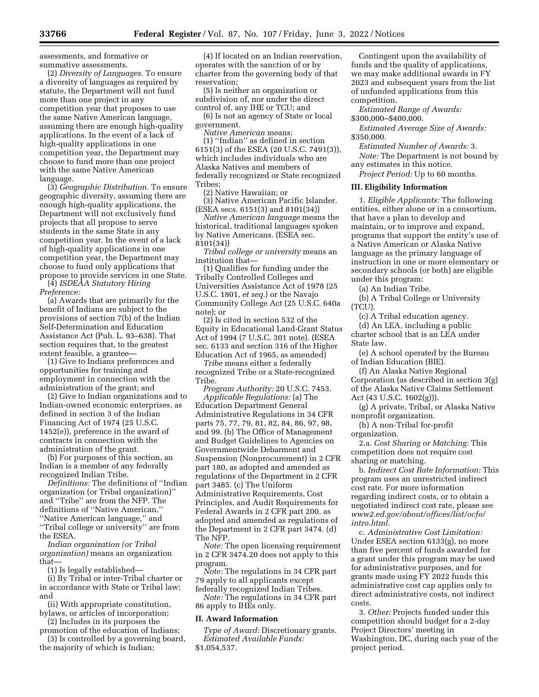assessments, and formative or summative assessments.

(2) *Diversity of Languages.* To ensure a diversity of languages as required by statute, the Department will not fund more than one project in any competition year that proposes to use the same Native American language, assuming there are enough high-quality applications. In the event of a lack of high-quality applications in one competition year, the Department may choose to fund more than one project with the same Native American language.

(3) *Geographic Distribution.* To ensure geographic diversity, assuming there are enough high-quality applications, the Department will not exclusively fund projects that all propose to serve students in the same State in any competition year. In the event of a lack of high-quality applications in one competition year, the Department may choose to fund only applications that propose to provide services in one State.

(4) *ISDEAA Statutory Hiring Preference:* 

(a) Awards that are primarily for the benefit of Indians are subject to the provisions of section 7(b) of the Indian Self-Determination and Education Assistance Act (Pub. L. 93–638). That section requires that, to the greatest extent feasible, a grantee—

(1) Give to Indians preferences and opportunities for training and employment in connection with the administration of the grant; and

(2) Give to Indian organizations and to Indian-owned economic enterprises, as defined in section 3 of the Indian Financing Act of 1974 (25 U.S.C. 1452(e)), preference in the award of contracts in connection with the administration of the grant.

(b) For purposes of this section, an Indian is a member of any federally recognized Indian Tribe.

*Definitions:* The definitions of ''Indian organization (or Tribal organization)'' and ''Tribe'' are from the NFP. The definitions of ''Native American,'' ''Native American language,'' and ''Tribal college or university'' are from the ESEA.

*Indian organization (or Tribal organization)* means an organization that—

(1) Is legally established—

(i) By Tribal or inter-Tribal charter or in accordance with State or Tribal law; and

(ii) With appropriate constitution, bylaws, or articles of incorporation;

(2) Includes in its purposes the promotion of the education of Indians;

(3) Is controlled by a governing board, the majority of which is Indian;

(4) If located on an Indian reservation, operates with the sanction of or by charter from the governing body of that reservation;

(5) Is neither an organization or subdivision of, nor under the direct control of, any IHE or TCU; and

(6) Is not an agency of State or local government.

*Native American* means:

(1) ''Indian'' as defined in section 6151(3) of the ESEA (20 U.S.C. 7491(3)), which includes individuals who are Alaska Natives and members of federally recognized or State recognized Tribes;

(2) Native Hawaiian; or

(3) Native American Pacific Islander. (ESEA secs. 6151(3) and 8101(34))

*Native American language* means the historical, traditional languages spoken by Native Americans. (ESEA sec. 8101(34))

*Tribal college or university* means an institution that—

(1) Qualifies for funding under the Tribally Controlled Colleges and Universities Assistance Act of 1978 (25 U.S.C. 1801, *et seq.*) or the Navajo Community College Act (25 U.S.C. 640a note); or

(2) Is cited in section 532 of the Equity in Educational Land-Grant Status Act of 1994 (7 U.S.C. 301 note). (ESEA sec. 6133 and section 316 of the Higher Education Act of 1965, as amended)

*Tribe* means either a federally recognized Tribe or a State-recognized Tribe.

*Program Authority:* 20 U.S.C. 7453. *Applicable Regulations:* (a) The Education Department General Administrative Regulations in 34 CFR parts 75, 77, 79, 81, 82, 84, 86, 97, 98, and 99. (b) The Office of Management and Budget Guidelines to Agencies on Governmentwide Debarment and Suspension (Nonprocurement) in 2 CFR part 180, as adopted and amended as regulations of the Department in 2 CFR part 3485. (c) The Uniform Administrative Requirements, Cost Principles, and Audit Requirements for Federal Awards in 2 CFR part 200, as adopted and amended as regulations of the Department in 2 CFR part 3474. (d) The NFP.

*Note:* The open licensing requirement in 2 CFR 3474.20 does not apply to this program.

*Note:* The regulations in 34 CFR part 79 apply to all applicants except

federally recognized Indian Tribes. *Note:* The regulations in 34 CFR part 86 apply to IHEs only.

## **II. Award Information**

*Type of Award:* Discretionary grants. *Estimated Available Funds:*  \$1,054,537.

Contingent upon the availability of funds and the quality of applications, we may make additional awards in FY 2023 and subsequent years from the list of unfunded applications from this competition.

*Estimated Range of Awards:*  \$300,000–\$400,000.

*Estimated Average Size of Awards:* 

\$350,000. *Estimated Number of Awards:* 3.

*Note:* The Department is not bound by any estimates in this notice.

*Project Period:* Up to 60 months.

## **III. Eligibility Information**

1. *Eligible Applicants:* The following entities, either alone or in a consortium, that have a plan to develop and maintain, or to improve and expand, programs that support the entity's use of a Native American or Alaska Native language as the primary language of instruction in one or more elementary or secondary schools (or both) are eligible under this program:

(a) An Indian Tribe.

(b) A Tribal College or University (TCU).

(c) A Tribal education agency.

(d) An LEA, including a public charter school that is an LEA under State law.

(e) A school operated by the Bureau of Indian Education (BIE).

(f) An Alaska Native Regional Corporation (as described in section 3(g) of the Alaska Native Claims Settlement Act (43 U.S.C. 1602(g))).

(g) A private, Tribal, or Alaska Native nonprofit organization.

(h) A non-Tribal for-profit organization.

2.a. *Cost Sharing or Matching:* This competition does not require cost sharing or matching.

b. *Indirect Cost Rate Information:* This program uses an unrestricted indirect cost rate. For more information regarding indirect costs, or to obtain a negotiated indirect cost rate, please see *[www2.ed.gov/about/offices/list/ocfo/](http://www2.ed.gov/about/offices/list/ocfo/intro.html)  [intro.html.](http://www2.ed.gov/about/offices/list/ocfo/intro.html)* 

c. *Administrative Cost Limitation:*  Under ESEA section 6133(g), no more than five percent of funds awarded for a grant under this program may be used for administrative purposes, and for grants made using FY 2022 funds this administrative cost cap applies only to direct administrative costs, not indirect costs.

3. *Other:* Projects funded under this competition should budget for a 2-day Project Directors' meeting in Washington, DC, during each year of the project period.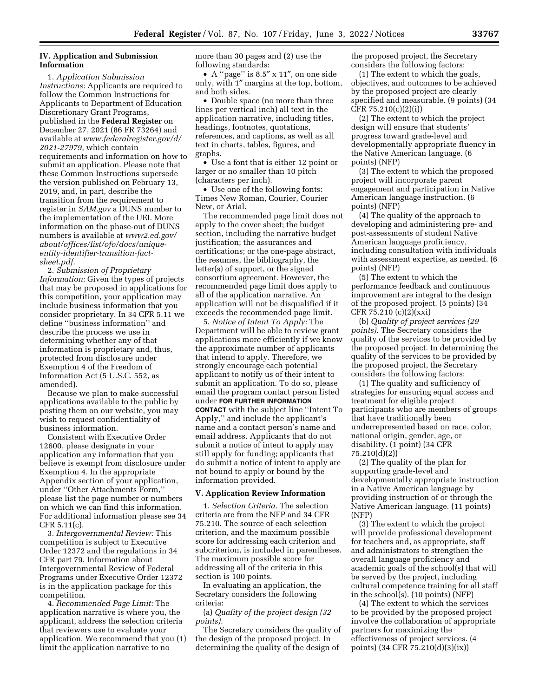# **IV. Application and Submission Information**

1. *Application Submission Instructions:* Applicants are required to follow the Common Instructions for Applicants to Department of Education Discretionary Grant Programs, published in the **Federal Register** on December 27, 2021 (86 FR 73264) and available at *[www.federalregister.gov/d/](http://www.federalregister.gov/d/2021-27979)  [2021-27979](http://www.federalregister.gov/d/2021-27979)*, which contain requirements and information on how to submit an application. Please note that these Common Instructions supersede the version published on February 13, 2019, and, in part, describe the transition from the requirement to register in *SAM.gov* a DUNS number to the implementation of the UEI. More information on the phase-out of DUNS numbers is available at *[www2.ed.gov/](https://www2.ed.gov/about/offices/list/ofo/docs/unique-entity-identifier-transition-fact-sheet.pdf)  [about/offices/list/ofo/docs/unique](https://www2.ed.gov/about/offices/list/ofo/docs/unique-entity-identifier-transition-fact-sheet.pdf)[entity-identifier-transition-fact](https://www2.ed.gov/about/offices/list/ofo/docs/unique-entity-identifier-transition-fact-sheet.pdf)[sheet.pdf.](https://www2.ed.gov/about/offices/list/ofo/docs/unique-entity-identifier-transition-fact-sheet.pdf)* 

2. *Submission of Proprietary Information:* Given the types of projects that may be proposed in applications for this competition, your application may include business information that you consider proprietary. In 34 CFR 5.11 we define ''business information'' and describe the process we use in determining whether any of that information is proprietary and, thus, protected from disclosure under Exemption 4 of the Freedom of Information Act (5 U.S.C. 552, as amended).

Because we plan to make successful applications available to the public by posting them on our website, you may wish to request confidentiality of business information.

Consistent with Executive Order 12600, please designate in your application any information that you believe is exempt from disclosure under Exemption 4. In the appropriate Appendix section of your application, under ''Other Attachments Form,'' please list the page number or numbers on which we can find this information. For additional information please see 34 CFR 5.11(c).

3. *Intergovernmental Review:* This competition is subject to Executive Order 12372 and the regulations in 34 CFR part 79. Information about Intergovernmental Review of Federal Programs under Executive Order 12372 is in the application package for this competition.

4. *Recommended Page Limit:* The application narrative is where you, the applicant, address the selection criteria that reviewers use to evaluate your application. We recommend that you (1) limit the application narrative to no

more than 30 pages and (2) use the following standards:

• A ''page'' is 8.5″ x 11″, on one side only, with 1″ margins at the top, bottom, and both sides.

• Double space (no more than three lines per vertical inch) all text in the application narrative, including titles, headings, footnotes, quotations, references, and captions, as well as all text in charts, tables, figures, and graphs.

• Use a font that is either 12 point or larger or no smaller than 10 pitch (characters per inch).

• Use one of the following fonts: Times New Roman, Courier, Courier New, or Arial.

The recommended page limit does not apply to the cover sheet; the budget section, including the narrative budget justification; the assurances and certifications; or the one-page abstract, the resumes, the bibliography, the letter(s) of support, or the signed consortium agreement. However, the recommended page limit does apply to all of the application narrative. An application will not be disqualified if it exceeds the recommended page limit.

5. *Notice of Intent To Apply:* The Department will be able to review grant applications more efficiently if we know the approximate number of applicants that intend to apply. Therefore, we strongly encourage each potential applicant to notify us of their intent to submit an application. To do so, please email the program contact person listed under **FOR FURTHER INFORMATION CONTACT** with the subject line ''Intent To Apply,'' and include the applicant's name and a contact person's name and email address. Applicants that do not submit a notice of intent to apply may still apply for funding; applicants that do submit a notice of intent to apply are not bound to apply or bound by the information provided.

#### **V. Application Review Information**

1. *Selection Criteria.* The selection criteria are from the NFP and 34 CFR 75.210. The source of each selection criterion, and the maximum possible score for addressing each criterion and subcriterion, is included in parentheses. The maximum possible score for addressing all of the criteria in this section is 100 points.

In evaluating an application, the Secretary considers the following criteria:

(a) *Quality of the project design (32 points).* 

The Secretary considers the quality of the design of the proposed project. In determining the quality of the design of

the proposed project, the Secretary considers the following factors:

(1) The extent to which the goals, objectives, and outcomes to be achieved by the proposed project are clearly specified and measurable. (9 points) (34 CFR 75.210(c)(2)(i))

(2) The extent to which the project design will ensure that students' progress toward grade-level and developmentally appropriate fluency in the Native American language. (6 points) (NFP)

(3) The extent to which the proposed project will incorporate parent engagement and participation in Native American language instruction. (6 points) (NFP)

(4) The quality of the approach to developing and administering pre- and post-assessments of student Native American language proficiency, including consultation with individuals with assessment expertise, as needed. (6 points) (NFP)

(5) The extent to which the performance feedback and continuous improvement are integral to the design of the proposed project. (5 points) (34 CFR 75.210 (c)(2)(xxi)

(b) *Quality of project services (29 points).* The Secretary considers the quality of the services to be provided by the proposed project. In determining the quality of the services to be provided by the proposed project, the Secretary considers the following factors:

(1) The quality and sufficiency of strategies for ensuring equal access and treatment for eligible project participants who are members of groups that have traditionally been underrepresented based on race, color, national origin, gender, age, or disability. (1 point) (34 CFR 75.210(d)(2))

(2) The quality of the plan for supporting grade-level and developmentally appropriate instruction in a Native American language by providing instruction of or through the Native American language. (11 points) (NFP)

(3) The extent to which the project will provide professional development for teachers and, as appropriate, staff and administrators to strengthen the overall language proficiency and academic goals of the school(s) that will be served by the project, including cultural competence training for all staff in the school(s). (10 points) (NFP)

(4) The extent to which the services to be provided by the proposed project involve the collaboration of appropriate partners for maximizing the effectiveness of project services. (4 points) (34 CFR 75.210(d)(3)(ix))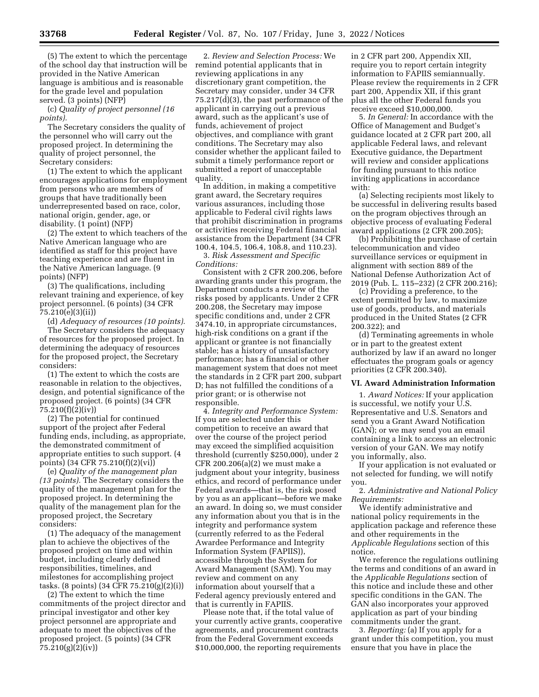(5) The extent to which the percentage of the school day that instruction will be provided in the Native American language is ambitious and is reasonable for the grade level and population served. (3 points) (NFP)

(c) *Quality of project personnel (16 points).* 

The Secretary considers the quality of the personnel who will carry out the proposed project. In determining the quality of project personnel, the Secretary considers:

(1) The extent to which the applicant encourages applications for employment from persons who are members of groups that have traditionally been underrepresented based on race, color, national origin, gender, age, or disability. (1 point) (NFP)

(2) The extent to which teachers of the Native American language who are identified as staff for this project have teaching experience and are fluent in the Native American language. (9 points) (NFP)

(3) The qualifications, including relevant training and experience, of key project personnel. (6 points) (34 CFR 75.210(e)(3)(ii))

(d) *Adequacy of resources (10 points).*  The Secretary considers the adequacy of resources for the proposed project. In determining the adequacy of resources for the proposed project, the Secretary considers:

(1) The extent to which the costs are reasonable in relation to the objectives, design, and potential significance of the proposed project. (6 points) (34 CFR 75.210(f)(2)(iv))

(2) The potential for continued support of the project after Federal funding ends, including, as appropriate, the demonstrated commitment of appropriate entities to such support. (4 points) (34 CFR 75.210(f)(2)(vi))

(e) *Quality of the management plan (13 points).* The Secretary considers the quality of the management plan for the proposed project. In determining the quality of the management plan for the proposed project, the Secretary considers:

(1) The adequacy of the management plan to achieve the objectives of the proposed project on time and within budget, including clearly defined responsibilities, timelines, and milestones for accomplishing project tasks. (8 points) (34 CFR 75.210(g)(2)(i))

(2) The extent to which the time commitments of the project director and principal investigator and other key project personnel are appropriate and adequate to meet the objectives of the proposed project. (5 points) (34 CFR 75.210(g)(2)(iv))

2. *Review and Selection Process:* We remind potential applicants that in reviewing applications in any discretionary grant competition, the Secretary may consider, under 34 CFR 75.217(d)(3), the past performance of the applicant in carrying out a previous award, such as the applicant's use of funds, achievement of project objectives, and compliance with grant conditions. The Secretary may also consider whether the applicant failed to submit a timely performance report or submitted a report of unacceptable quality.

In addition, in making a competitive grant award, the Secretary requires various assurances, including those applicable to Federal civil rights laws that prohibit discrimination in programs or activities receiving Federal financial assistance from the Department (34 CFR 100.4, 104.5, 106.4, 108.8, and 110.23).

3. *Risk Assessment and Specific Conditions:* 

Consistent with 2 CFR 200.206, before awarding grants under this program, the Department conducts a review of the risks posed by applicants. Under 2 CFR 200.208, the Secretary may impose specific conditions and, under 2 CFR 3474.10, in appropriate circumstances, high-risk conditions on a grant if the applicant or grantee is not financially stable; has a history of unsatisfactory performance; has a financial or other management system that does not meet the standards in 2 CFR part 200, subpart D; has not fulfilled the conditions of a prior grant; or is otherwise not responsible.

4. *Integrity and Performance System:*  If you are selected under this competition to receive an award that over the course of the project period may exceed the simplified acquisition threshold (currently \$250,000), under 2 CFR 200.206(a)(2) we must make a judgment about your integrity, business ethics, and record of performance under Federal awards—that is, the risk posed by you as an applicant—before we make an award. In doing so, we must consider any information about you that is in the integrity and performance system (currently referred to as the Federal Awardee Performance and Integrity Information System (FAPIIS)), accessible through the System for Award Management (SAM). You may review and comment on any information about yourself that a Federal agency previously entered and that is currently in FAPIIS.

Please note that, if the total value of your currently active grants, cooperative agreements, and procurement contracts from the Federal Government exceeds \$10,000,000, the reporting requirements

in 2 CFR part 200, Appendix XII, require you to report certain integrity information to FAPIIS semiannually. Please review the requirements in 2 CFR part 200, Appendix XII, if this grant plus all the other Federal funds you receive exceed \$10,000,000.

5. *In General:* In accordance with the Office of Management and Budget's guidance located at 2 CFR part 200, all applicable Federal laws, and relevant Executive guidance, the Department will review and consider applications for funding pursuant to this notice inviting applications in accordance with:

(a) Selecting recipients most likely to be successful in delivering results based on the program objectives through an objective process of evaluating Federal award applications (2 CFR 200.205);

(b) Prohibiting the purchase of certain telecommunication and video surveillance services or equipment in alignment with section 889 of the National Defense Authorization Act of 2019 (Pub. L. 115–232) (2 CFR 200.216);

(c) Providing a preference, to the extent permitted by law, to maximize use of goods, products, and materials produced in the United States (2 CFR 200.322); and

(d) Terminating agreements in whole or in part to the greatest extent authorized by law if an award no longer effectuates the program goals or agency priorities (2 CFR 200.340).

### **VI. Award Administration Information**

1. *Award Notices:* If your application is successful, we notify your U.S. Representative and U.S. Senators and send you a Grant Award Notification (GAN); or we may send you an email containing a link to access an electronic version of your GAN. We may notify you informally, also.

If your application is not evaluated or not selected for funding, we will notify you.

2. *Administrative and National Policy Requirements:* 

We identify administrative and national policy requirements in the application package and reference these and other requirements in the *Applicable Regulations* section of this notice.

We reference the regulations outlining the terms and conditions of an award in the *Applicable Regulations* section of this notice and include these and other specific conditions in the GAN. The GAN also incorporates your approved application as part of your binding commitments under the grant.

3. *Reporting:* (a) If you apply for a grant under this competition, you must ensure that you have in place the